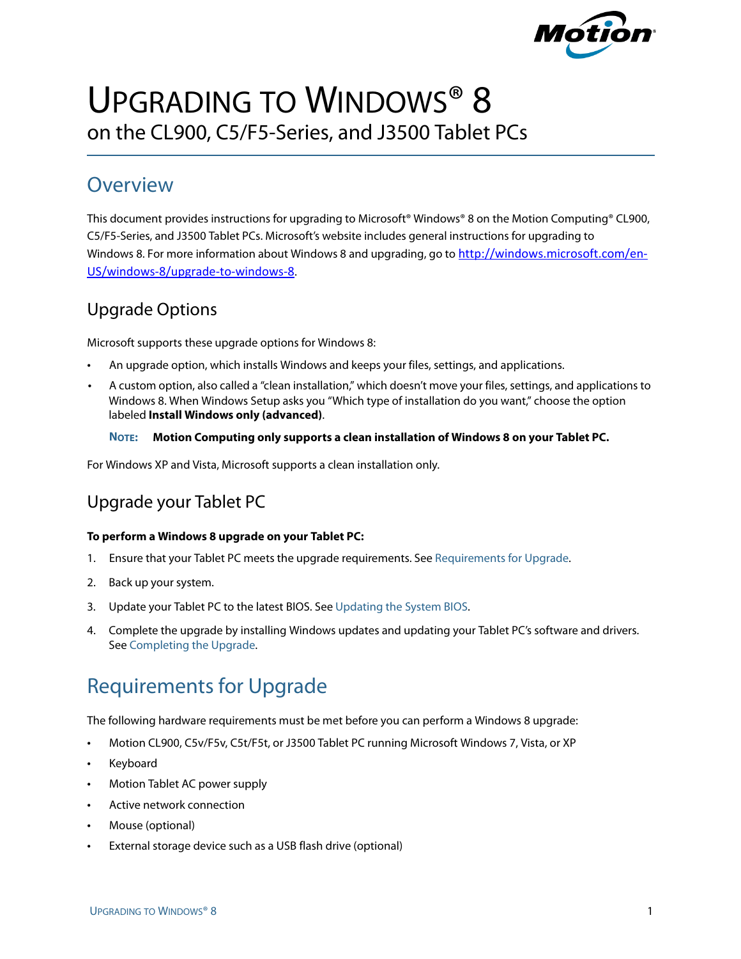

# UPGRADING TO WINDOWS<sup>®</sup> 8 on the CL900, C5/F5-Series, and J3500 Tablet PCs

### **Overview**

This document provides instructions for upgrading to Microsoft® Windows® 8 on the Motion Computing® CL900, C5/F5-Series, and J3500 Tablet PCs. Microsoft's website includes general instructions for upgrading to Windows 8. For more information about Windows 8 and upgrading, go to [http://windows.microsoft.com/en](http://windows.microsoft.com/en-US/windows-8/upgrade-to-windows-8)-[US/windows](http://windows.microsoft.com/en-US/windows-8/upgrade-to-windows-8)‐8/upgrade‐to‐windows‐8.

### Upgrade Options

Microsoft supports these upgrade options for Windows 8:

- An upgrade option, which installs Windows and keeps your files, settings, and applications.
- A custom option, also called a "clean installation," which doesn't move your files, settings, and applications to Windows 8. When Windows Setup asks you "Which type of installation do you want," choose the option labeled **Install Windows only (advanced)**.

#### **NOTE: Motion Computing only supports a clean installation of Windows 8 on your Tablet PC.**

For Windows XP and Vista, Microsoft supports a clean installation only.

### Upgrade your Tablet PC

#### **To perform a Windows 8 upgrade on your Tablet PC:**

- 1. Ensure that your Tablet PC meets the upgrade requirements. See [Requirements for Upgrade](#page-0-0).
- 2. Back up your system.
- 3. Update your Tablet PC to the latest BIOS. See [Updating the System BIOS.](#page-1-0)
- 4. Complete the upgrade by installing Windows updates and updating your Tablet PC's software and drivers. See [Completing the Upgrade.](#page-1-1)

## <span id="page-0-0"></span>Requirements for Upgrade

The following hardware requirements must be met before you can perform a Windows 8 upgrade:

- Motion CL900, C5v/F5v, C5t/F5t, or J3500 Tablet PC running Microsoft Windows 7, Vista, or XP
- **Keyboard**
- Motion Tablet AC power supply
- Active network connection
- Mouse (optional)
- External storage device such as a USB flash drive (optional)